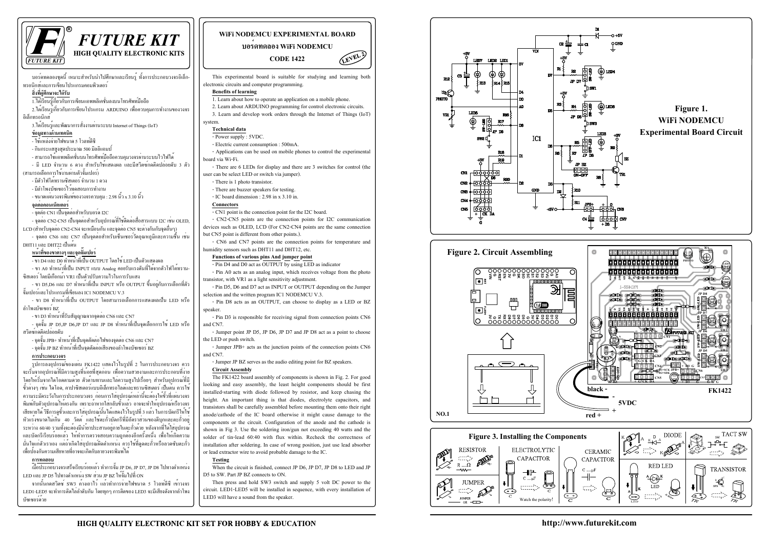บอร์ดทดลองชุดนี้ เหมาะสำหรับนำไปศึกษาและเรียนรู้ ทั้งการประกอบวงจรอิเล็ก-ทรอนิกส์และการเขียนโปรแกรมคอมพิวเตอร์

#### **สิ่งที่ผู้ ศึกษาจะได้ รับ**

1.ได้ เรียนรู้ เกี่ยวกับการเขียนแอพพลิเคชั่นลงบนโทรศัพท์มือถือ

2.ได้เรียนรู้เกี่ยวกับการเขียนโปรแกรม ARDUINO เพื่อควบคุมการทำงานของวงจร อิเล็กทรอนิกส์

3.ได้เรียนรู้และพัฒนาการสั่งงานผ่านระบบ Internet of Things (IoT)

#### <u>ข้อมูลทางด้านเทคนิค</u>

- ใช้ แหล่ งจ่ ายไฟขนาด 5 โวลท์ดีซี

- กินกระแสสูงสุดประมาณ 500 มิลลิแอมป์

- สามารถใช้แอพพลิเคชั่นบนโทรศัพท์มือถือควบคุมวงจรผ่านระบบไวไฟได้

- มี LED จำนวน 6 ดวง สำหรับใช้แสดงผล และมีสวิตซ์กดติดปล่อยดับ 3 ตัว (สามารถเลือกการใช้งานผ่านตัวจั๊มเปอร์)

- มีตัวโฟโต้ทรานซิสเตอร์ จำนวน 1 ดวง

- มีลำโพงบัซเซอร์ไว้ทดสอบการทำงาน

- ขนาดแผ่นวงจรพิมพ์ของวงจรควบคุม : 2.98 นิ้ว x 3.10 นิ้ว

#### **จุดต่อคอนเน็คเตอร์**

- จุดต่ อ CN1 เป็นจุดต่อสำหรับบอร์ด I2C

- จุดต่อ CN2-CN5 เป็นจุดต่อสำหรับอุปกรณ์ที่ใช้ติดต่อสื่อสารแบบ I2C เช่น OLED, LCD (สำหรับจุดต่อ CN2-CN4 จะเหมือนกัน และจุดต่อ CN5 จะต่างกันกับจุดอื่นๆ)

- จุดต่อ CN6 และ CN7 เป็นจุดต่อสำหรับเซ็นเซอร์วัดอุณหภูมิและความชื้น เช่น DHT11 และ DHT22 เป็นต้น

#### **หน้าที่¢Í§ขาต่างๆ และจุดจั๊มเปอร์**

- ขา D4 และ D0 ทำหน้ าที่เป็น OUTPUT โดยใช้ LED เป็นตัวแสดงผล

- ขา A0 ทำหน้าที่เป็น INPUT แบบ Analog คอยรับแรงดันที่ได้จากตัวโฟโต้ทราน-ซิสเตอร์ โดยมีเกือกม้า VR1 เป็นตัวปรับความไวในการรับแสง

- ขา D5,D6 และ D7 ทำหน้าที่เป็น INPUT หรือ OUTPUT ขึ้นอยู่กับการเลือกที่ตัว จั๊มเปอร์และโปรแกรมที่เขียนลง IC1 NODEMCU V.3

 $\vec{a}$ อประกอบวงจรเสร็จเรียบร<sup>้</sup>อยแล้ว ทำการจั๊ม JP D6, JP D7, JP D8 ไปทางตำแหน่ง LED และ JP D5 ไปทางตำแหน่ง SW ส่วน JP BZ ให้จั๊มไปที่ ON

- ขา D8 ทำหน้าที่เป็น OUTPUT โดยสามารถเลือกการแสดงผลเป็น LED หรือ ลำโพงบัซเซอร์ BZ

ิ จากนั้นกดสวิตซ์ SW3 ค้างเอาไว**้ แล**้วทำการจ**่ายไฟขนาด 5 โวลท์ดีซี เข**้าวงจร LED1-LED5 จะทำการติดไล่ลำดับกัน โดยทุกๆ การติดของ LED3 จะมีเสียงดังจากลำโพง บัซเซอร์ด้วย

- ขา D3 ทำหน้าที่รับสัญญาณจากจุดต่อ CN6 และ CN7

- จุดจั๊ม JP D5,JP D6,JP D7 และ JP D8 ทำหน้าที่เป็นจุดเลือกการใช้ LED หรือ สวิตซ์กดติดปล่อยดับ

- จุดจั๊ม JPB+ ทำหน้าที่เป็นจุดตัดต่อไฟของจุดต่อ CN6 และ CN7

- จุดจั๊ม JP BZ ทำหน้าที่เป็นจุดตัดต่อเสียงของลำโพงบัซเซอร์ BZ

#### <u>การป</u>ระกอบวงจร

รูปการลงอุปกรณ์ของแผน FK1422 แสดงไว**้ในรูปที่ 2 ในการประกอบวงจร** ควร ้จะเริ่มจากอปกรณ์ที่มีความสงที่น้อยที่สดก่อน เพื่อความสวยงามและการประกอบที่ง่าย โดยให*้*เริ่มจากไดโอดตามด<sup>้</sup>วย ตัวต<sup>้</sup>านทานและไลความสูงไปเรื่อยๆ สำหรับอุปกรณ์ที่มี ู้ขั้วตางๆ เช่น ไคโอค. คาปาซิสเตอร์แบบอิเล็กทรอไลต์และทรานซิสเตอร์ เป็นต้น ควรใช<sup>้</sup> ้<br>ความระมัคระวังในการประกอบวงจร ก่อนการใส่อุปกรณ์เหล่านี้จะต้องให้ขั้วที่แผ่นวงจร พิมพ์กับตัวอุปกรณ์ให**้ตรงกัน เพราะถ**้าหากใส่กลับขั้วแล**้ว อาจจะทำให**้อุปกรณ์หรือวงจร ้เสียหายได<sup>้</sup> วิธีการดูขั้วและการใส**่อุปกรณ์นั้นได**้แสดงไว<sup>้</sup>ใน<u>รูปที่ 3 แล้ว ในการบัดกรีให</u>้ใช<sup>้</sup> หัวแร<sup>้</sup>งขนาดไม่เกิน 40 วัตต<sup>์</sup> และใช**้ตะกั่วบัดกรีที่มีอัตราส**่วนของดีบุกและตะกั่วอยู<sup>่</sup> ระหวาง 60/40 รวมทั้งจะต้องมีน้ำยาประสานอยู่ภายในตะกั่วด้วย หลังจากที่ได้ใส**่อุปกรณ**์ และบัดกรีเรียบร้อยแล้ว ให้ทำการตรวจสอบความถูกต้องอีกครั้งหนึ่ง เพื่อให้เกิดความ ้มั่นใจแก่ตัวเราเอง แต่ถ้ำเกิดใส**่อปกรณ์ผิดตำแหน**่ง ควรใช**้ที่ดดตะกั่วหรือลวดซับตะกั่ว** ้เพื่อป<sup>ี</sup>้องกันความเสียหายที่อาจจะเกิดกับลายวงจรพิมพ<sup>์</sup>ได<sup>้</sup>

#### **¡Ò÷´Êͺ**

This experimental board is suitable for studying and learning both electronic circuits and computer programming.

#### **Benefits of learning**

1. Learn about how to operate an application on a mobile phone.

2. Learn about ARDUINO programming for control electronic circuits.

3. Learn and develop work orders through the Internet of Things (IoT) system.

#### **Technical data**

- Power supply : 5VDC.

- Electric current consumption : 500mA.

- Applications can be used on mobile phones to control the experimental board via Wi-Fi.

- There are 6 LEDs for display and there are 3 switches for control (the user can be select LED or switch via jumper).

- There is 1 photo transistor.
- There are buzzer speakers for testing.

- IC board dimension : 2.98 in x 3.10 in.

#### **Connectors**

- CN1 point is the connection point for the I2C board.

- CN2-CN5 points are the connection points for I2C communication devices such as OLED, LCD (For CN2-CN4 points are the same connection but CN5 point is different from other points.).

- CN6 and CN7 points are the connection points for temperature and humidity sensors such as DHT11 and DHT12, etc.

#### **Functions of various pins And jumper point**

- Pin D4 and D0 act as OUTPUT by using LED as indicator

- Pin A0 acts as an analog input, which receives voltage from the photo transistor, with VR1 as a light sensitivity adjustment.

- Pin D5, D6 and D7 act as INPUT or OUTPUT depending on the Jumper selection and the written program IC1 NODEMCU V.3.

- Pin D8 acts as an OUTPUT, can choose to display as a LED or BZ speaker.

- Pin D3 is responsible for receiving signal from connection points CN6 and CN7.

- Jumper point JP D5, JP D6, JP D7 and JP D8 act as a point to choose the LED or push switch.

- Jumper JPB+ acts as the junction points of the connection points CN6 and CN7.

- Jumper JP BZ serves as the audio editing point for BZ speakers. **Circuit Assembly**

The FK1422 board assembly of components is shown in Fig. 2. For good looking and easy assembly, the least height components should be first installed-starting with diode followed by resistor, and keep chasing the height. An important thing is that diodes, electrolyte capacitors, and transistors shall be carefully assembled before mounting them onto their right anode/cathode of the IC board otherwise it might cause damage to the components or the circuit. Configuration of the anode and the cathode is shown in Fig 3. Use the soldering iron/gun not exceeding 40 watts and the solder of tin-lead 60:40 with flux within. Recheck the correctness of installation after soldering. In case of wrong position, just use lead absorber or lead extractor wire to avoid probable damage to the IC.

#### **Testing**

When the circuit is finished, connect JP D6, JP D7, JP D8 to LED and JP D5 to SW. Part JP BZ connects to ON.

Then press and hold SW3 switch and supply 5 volt DC power to the circuit. LED1-LED5 will be installed in sequence, with every installation of LED3 will have a sound from the speaker.

**http://www.futurekit.com**

# *FUTURE KIT*



### **WiFi NODEMCU EXPERIMENTAL BOARD**

**บอร์ดทดลอง WiFi NODEMCU**

## **CODE 1422**

LEVEL?







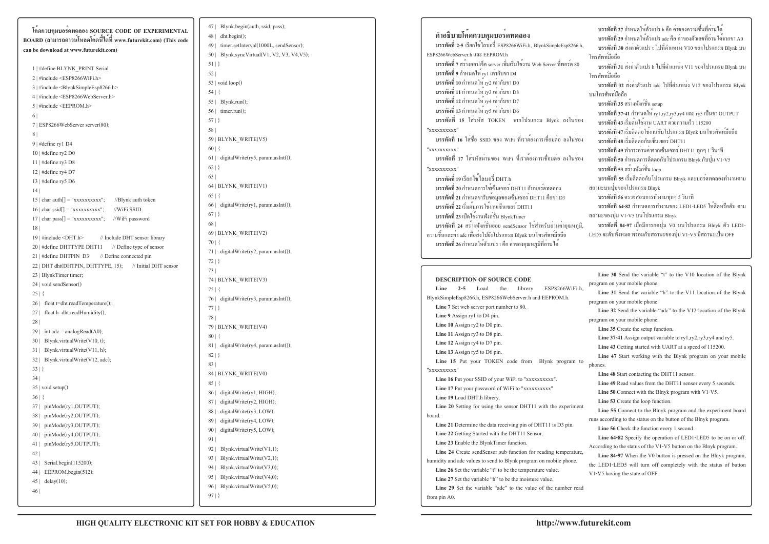**โค้ดควบคุมบอร์ดทดลอง SOURCE CODE OF EXPERIMENTAL BOARD (สามารถดาวน์โหลดโค้ดนี้ได้ที่ www.futurekit.com) (This code can be download at www.futurekit.com)**

1 | #define BLYNK\_PRINT Serial2 | #include <ESP8266WiFi.h>3 | #include <BlynkSimpleEsp8266.h>4 | #include <ESP8266WebServer.h> $5$  | #include <EEPROM.h> 6 | 7 | ESP8266WebServer server(80);8 | 9 | #define ry1 D4 10 | #define ry2 D0 11 | #define ry3 D812 | #define ry4 D7 13 | #define ry5 D6 14 |  $15$  | char auth $[] = "xxxxxxxxx'':$  //Blynk auth token  $16$  | char ssid[] = "xxxxxxxxxxx"; //WiFi SSID  $17 | char pass[] = "xxxxxxxxx'';$  //WiFi password 18 | 19 | #include <DHT.h> // Include DHT sensor library20 | #define DHTTYPE DHT11 // Define type of sensor 21 | #define DHTPIN D3 // Define connected pin 22 | DHT dht(DHTPIN, DHTTYPE, 15); // Initial DHT sensor 23 | BlynkTimer timer;24 | void sendSensor() $25 |$ 26 | float t=dht.readTemperature(); 27 | float h=dht.readHumidity(); 28 | 29 | int adc = analogRead(A0); 30 | Blynk.virtualWrite(V10, t);31 | Blynk.virtualWrite(V11, h);32 | Blynk.virtualWrite(V12, adc); 33 | }34 | 35 | void setup()36 | { 37 | pinMode(ry1,OUTPUT);38 | pinMode(ry2,OUTPUT);39 | pinMode(ry3,OUTPUT);40 | pinMode(ry4,OUTPUT); 41 | pinMode(ry5,OUTPUT); 42 | 43 | Serial.begin(115200);44 | EEPROM.begin(512);45 | delay(10);46 |

47 | Blynk.begin(auth, ssid, pass);48 | dht.begin();49 | timer.setInterval(1000L, sendSensor); 50 | Blynk.syncVirtual(V1, V2, V3, V4,V5);51 | }52 |  $53$  | void loop() 54 | {55 | Blynk.run();  $56$  | timer.run $()$ : 57 | }58 | 59 | BLYNK\_WRITE(V5)60 | {61 | digitalWrite(ry5, param.asInt());  $62 |$ } 63 | 64 | BLYNK\_WRITE(V1) $65 |$ 66 | digitalWrite(ry1, param.asInt());  $67 |$ } 68 | 69 | BLYNK\_WRITE(V2)70 | {71 | digitalWrite(ry2, param.asInt()); 72 | }73 | 74 | BLYNK\_WRITE(V3)75 | {76 | digitalWrite(ry3, param.asInt()); 77 | }78 | 79 | BLYNK\_WRITE(V4)80 | {81 | digitalWrite(ry4, param.asInt()); 82 | }83 | 84 | BLYNK\_WRITE(V0) $85 |$ 86 | digitalWrite(ry1, HIGH);87 | digitalWrite(ry2, HIGH); 88 | digitalWrite(ry3, LOW); 89 | digitalWrite(ry4, LOW); 90 | digitalWrite(ry5, LOW); 91 | 92 | Blynk.virtualWrite(V1,1); 93 | Blynk.virtualWrite(V2,1); 94 | Blynk.virtualWrite(V3,0); 95 | Blynk.virtualWrite(V4,0); 96 | Blynk.virtualWrite(V5,0); 97 | }

**คำอธิบายโค้ดควบคุมบอร์ดทดลอง บรรทัดที่ 2-5** เรียกใช้ไลบอรี่ ESP8266WiFi.h, BlynkSimpleEsp8266.h, ESP8266WebServer.h และ EEPROM.h **บรรทัดที่ 7** สร้างออปเจ็ค server เพิ่มเริ่มใช้งาน Web Server ที่พอร์ต 80**บรรทัดที่ 9** กำหนดให้ ry1 เท่ากับขา D4 **บรรทัดที่ 10** กำหนดให้ ry2 เท่ากับขา D0 **บรรทัดที่ 11** กำหนดให้ ry3 เท่ากับขา D8 **บรรทัดที่ 12** กำหนดให้ ry4 เท่ากับขา D7 **บรรทัดที่ 13** กำหนดให้ ry5 เท่ากับขา D6 **บรรทัดที่ 15** ใส่รหัส TOKEN จากโปรแกรม Blynk ลงในช่อง "xxxxxxxxxx" **บรรทัดที่ 16** ใส่ชื่อ SSID ของ WiFi ที่เราต้องการเชื่อมต่อ ลงในช่อง "xxxxxxxxxx" **บรรทัดที่ 17** ใส่รหัสผ่านของ WiFi ที่เราต้องการเชื่อมต่อ ลงในช่อง"xxxxxxxxxx" **บรรทัดที่ 19** เรียกใช้ไลบอรี่ DHT.h **บรรทัดที่ 20** กำหนดการใช้เซ็นเซอร์ DHT11 กับบอร์ดทดลอง **บรรทัดที่ 21** กำหนดขารับข้อมูลของเซ็นเซอร์ DHT11 คือขา D3**บรรทัดที่ 22** เริ่มต้นการใช้งานเซ็นเซอร์ DHT11**บรรทัดที่ 23** เปิดใช้งานฟังก์ชั่น BlynkTimer **บรรทัดที่ 24** สร้างฟังค์ชั่นย่อย sendSensor ใช้สำหรับอ่านค่าอุณหภูมิ, ความชื้นและค่า adc เพื่อส่งไปยังโปรแกรม Blynk บนโทรศัพท์มือถือ**บรรทัดที่ 26** กำหนดให้ตัวแปร t คือ ค่าของอุณหภูมิที่อ่านได้

librery Line 2-5 Load the librery ESP8266WiFi.h BlynkSimpleEsp8266.h, ESP8266WebServer.h and EEPROM.h.**Line 7** Set web server port number to 80.**Line 9** Assign ry1 to D4 pin. **Line 10** Assign ry2 to D0 pin.**Line 11** Assign ry3 to D8 pin.**Line 12** Assign ry4 to D7 pin. **Line 13** Assign ry5 to D6 pin.Line 15 Put your TOKEN code from Blynk program to "xxxxxxxxxx" Line 16 Put your SSID of your WiFi to "xxxxxxxxxx". Line 17 Put your password of WiFi to "xxxxxxxxxx" **Line 19** Load DHT.h librery.Line 20 Setting for using the sensor DHT11 with the experiment board.**Line 21** Determine the data receiving pin of DHT11 is D3 pin.**Line 22** Getting Started with the DHT11 Sensor.**Line 23** Enable the BlynkTimer function.**Line 24** Create sendSensor sub-function for reading temperature, humidity and adc values to send to Blynk program on mobile phone.Line 26 Set the variable "t" to be the temperature value. Line 27 Set the variable "h" to be the moisture value. **Line 29** Set the variable "adc" to the value of the number read from pin A0.program on your mobile phone.program on your mobile phone.**Line 35** Create the setup function.**Line 37-41** Assign output variable to ry1,ry2,ry3,ry4 and ry5.**Line 43** Getting started with UART at a speed of 115200.phones.**Line 48** Start contacting the DHT11 sensor.**Line 49** Read values from the DHT11 sensor every 5 seconds.**Line 50** Connect with the Blnyk program with V1-V5.**Line 53** Create the loop function.runs according to the status on the button of the Blnyk program.**Line 56** Check the function every 1 second.**Line 64-82** Specify the operation of LED1-LED5 to be on or off.According to the status of the V1-V5 button on the Blnyk program.Line 84-97 When the V0 button is pressed on the Blnyk program, the LED1-LED5 will turn off completely with the status of button V1-V5 having the state of OFF.

#### **DESCRIPTION OF SOURCE CODE**

|    | บรรทัดที่ 27 กำหนดให <sup>้</sup> ตัวแปร h คือ คาของความชื้นที่อานได <sup>้</sup><br>บรรทัดที่ 29 กำหนดให <sup>้</sup> ตัวแปร adc คือ คาของตัวเลขที่อ่านได <sup>้</sup> จากขา A0 |
|----|----------------------------------------------------------------------------------------------------------------------------------------------------------------------------------|
|    | บรรทัดที่ 30 สงคาตัวแปร t ไปที่ตำแหน <b>่ง V10 ของโปรแกรม Blynk บน</b>                                                                                                           |
|    | โทรศัพท <i>์</i> มือถือ                                                                                                                                                          |
|    | บรรทัดที่ 31 สงคาตัวแปร h ไปที่ตำแหนง V11 ของโปรแกรม Blynk บน                                                                                                                    |
|    | โทรศัพท <i>์</i> มือถือ                                                                                                                                                          |
|    | บรรทัดที่ 32 สงคาตัวแปร adc ไปที่ตำแหน <b>่</b> ง V12 ของโปรแกรม Blynk                                                                                                           |
|    | บนโทรศัพท์มือถือ                                                                                                                                                                 |
|    | บรรทัดที่ 35 สร <sup>้</sup> างฟังก <sup>์</sup> ชั่น setup                                                                                                                      |
|    | <b>บรรทัดที่ 37-41</b> กำหนดให <sup>้</sup> ry1,ry2,ry3,ry4 และ ry5 เป็นขา OUTPUT                                                                                                |
| J  | บรรทัดที่ 43 เริ่มต <sup>้</sup> นใช <sup>้</sup> งาน UART ค <sup>ั</sup> วยความเร็ว 115200                                                                                      |
|    | บรรทัดที่ 47 เริ่มติดต <sup>่</sup> อใช <sup>้</sup> งานกับโปรแกรม Blynk บนโทรศัพท <i>์</i> มือถือ                                                                               |
| J  | บรรทัดที่ 48 เริ่มติดต <sup>่</sup> อกับเซ็นเซอร <i>์</i> DHT11                                                                                                                  |
|    | บรรทัดที่ 49 ทำการอานคาจากเซ็นเซอร <i>์</i> DHT11 ทุกๆ 1 วินาที                                                                                                                  |
| 1  | บรรทัดที่ 50 กำหนดการติดต <sup>่</sup> อกับโปรแกรม Blnyk กับปุ <sup>่</sup> ม V1-V5                                                                                              |
|    | บรรทัดที่ 53 สร <sup>้</sup> างฟังก <sup>์</sup> ชั่น loop                                                                                                                       |
|    | บรรทัดที่ 55 เริ่มติดต <sup>่</sup> อกับโปรแกรม Blnyk และบอร <sup>์</sup> ดทดลองทำงานตาม                                                                                         |
|    | ิสถานะบนปุ่มของโปรแกรม Blnyk                                                                                                                                                     |
|    | บรรทัดที่ 56 ตรวจสอบการทำงานทุกๆ 5 วินาที                                                                                                                                        |
|    | บรรทัดที่ 64-82 กำหนดการทำงานของ LED1-LED5 ให <sup>้</sup> ติดหรือดับ ตาม                                                                                                        |
|    | ิสถานะของปุ่ม V1-V5 บนโปรแกรม Blnyk                                                                                                                                              |
| ì, | บรรทัดที่ 84-97 เมื่อมีการกดปุ่ม V0 บนโปรแกรม Blnyk ตัว LED1-                                                                                                                    |
|    | LED5 จะดับทั้งหมด พร <sup>้</sup> อมกับสถานะของปุ่ม V1-V5 มีสถานะเป็น OFF                                                                                                        |
|    |                                                                                                                                                                                  |
|    |                                                                                                                                                                                  |
|    |                                                                                                                                                                                  |
|    | Line 30 Send the variable "t" to the V10 location of the Blynk                                                                                                                   |
|    | program on your mobile phone.                                                                                                                                                    |
|    | Line 31 Send the variable "h" to the V11 location of the Blynk                                                                                                                   |
|    | program on your mobile phone.                                                                                                                                                    |
|    | Line 32 Send the variable "adc" to the V12 location of the Blynk                                                                                                                 |
|    | program on your mobile phone.                                                                                                                                                    |
|    | <b>Line 35</b> Create the setup function.                                                                                                                                        |
|    | Line 37-41 Assign output variable to ry1,ry2,ry3,ry4 and ry5.                                                                                                                    |
|    | Line 43 Getting started with UART at a speed of 115200.                                                                                                                          |
| 0  | Line 47 Start working with the Blynk program on your mobile                                                                                                                      |
|    | phones.                                                                                                                                                                          |
|    | Line 48 Start contacting the DHT11 sensor.                                                                                                                                       |
|    | Line 49 Read values from the DHT11 sensor every 5 seconds.                                                                                                                       |
|    | <b>Line 50</b> Connect with the Blnyk program with $V1-V5$ .                                                                                                                     |
| ıt | Line 53 Create the loop function.<br>Line 55 Connect to the Blnyk program and the experiment board                                                                               |
|    |                                                                                                                                                                                  |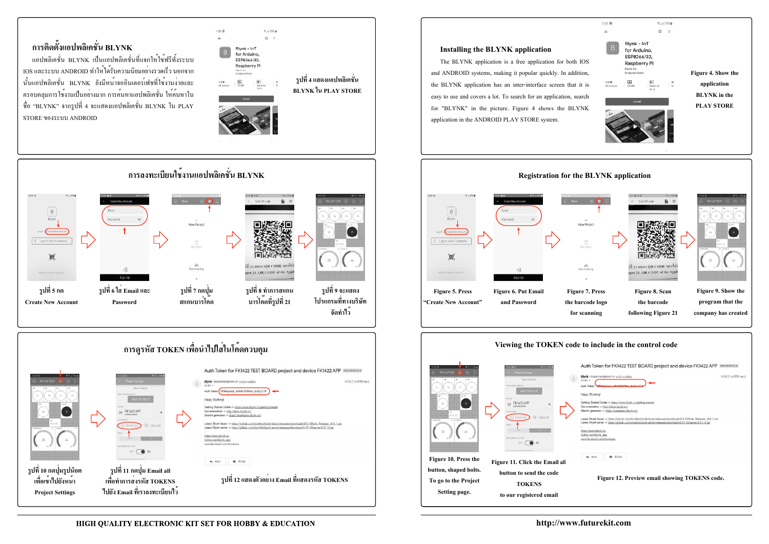# **การติดตั้งแอปพลิเคชั่น BLYNK**

แอปพลิเคชั่น BLYNK เป็นแอปพลิเคชั่นที่แจกให้ใช้ฟรีทั้งระบบ IOS และระบบ ANDROID ทำให้ได้รับความนิยมอย่างรวดเร็ว นอกจาก นั้นแอปพลิเคชั่น BLYNK ยังมีหน้าจออินเตอร์เฟชที่ใช้งานง่ายและ ครอบคลุมการใช้งานเป็นอย่างมาก การค้นหาแอปพลิเคชั่น ให้ค้นหาใน ชื่อ "BLYNK" จากรูปที่ 4 จะแสดงแอปพลิเคชั่น BLYNK ใน PLAY STORE ของระบบ ANDROID









The BLYNK application is a free application for both IOS and ANDROID systems, making it popular quickly. In addition, the BLYNK application has an inter-interface screen that it is easy to use and covers a lot. To search for an application, search for "BLYNK" in the picture. Figure 4 shows the BLYNK application in the ANDROID PLAY STORE system.